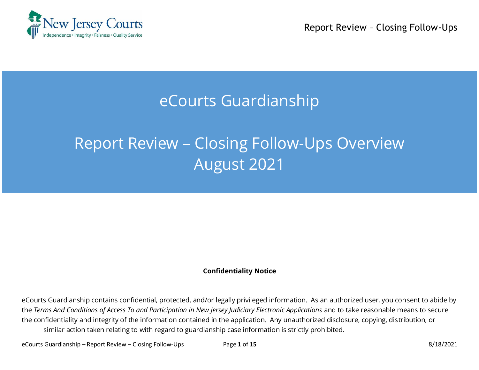

Report Review – Closing Follow-Ups

## eCourts Guardianship

# Report Review – Closing Follow-Ups Overview August 2021

#### **Confidentiality Notice**

eCourts Guardianship contains confidential, protected, and/or legally privileged information. As an authorized user, you consent to abide by the *Terms And Conditions of Access To and Participation In New Jersey Judiciary Electronic Applications* and to take reasonable means to secure the confidentiality and integrity of the information contained in the application. Any unauthorized disclosure, copying, distribution, or similar action taken relating to with regard to guardianship case information is strictly prohibited.

eCourts Guardianship – Report Review – Closing Follow-Ups Page **1** of **15** 8/18/2021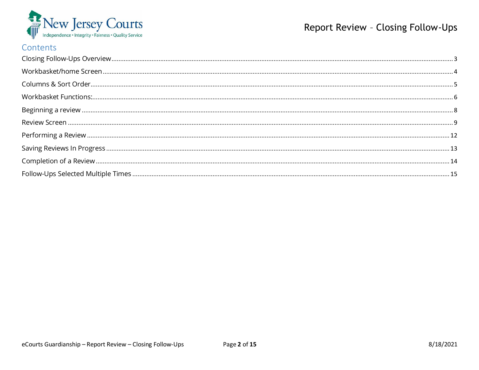

## Report Review - Closing Follow-Ups

#### Contents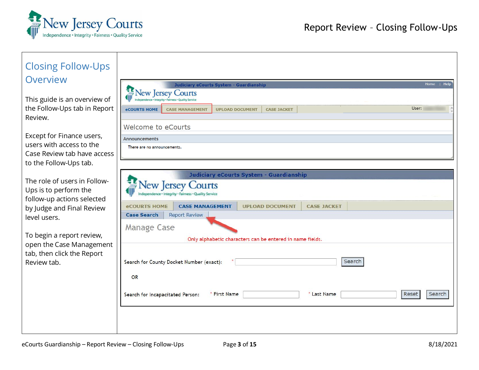

<span id="page-2-0"></span>

| <b>Closing Follow-Ups</b>                                                           |                                                                                                                                                                                                      |  |  |  |  |  |
|-------------------------------------------------------------------------------------|------------------------------------------------------------------------------------------------------------------------------------------------------------------------------------------------------|--|--|--|--|--|
| Overview                                                                            | Home  <br>Help<br><b>Judiciary eCourts System - Guardianship</b>                                                                                                                                     |  |  |  |  |  |
| This guide is an overview of<br>the Follow-Ups tab in Report<br>Review.             | <b>New Jersey Courts</b><br>rity - Fairness - Quality Service<br>User:<br><b>eCOURTS HOME</b><br><b>CASE MANAGEMENT</b><br><b>UPLOAD DOCUMENT</b><br><b>CASE JACKET</b><br><b>Welcome to eCourts</b> |  |  |  |  |  |
| Except for Finance users,                                                           | <b>Announcements</b>                                                                                                                                                                                 |  |  |  |  |  |
| users with access to the                                                            | There are no announcements.                                                                                                                                                                          |  |  |  |  |  |
| Case Review tab have access<br>to the Follow-Ups tab.                               |                                                                                                                                                                                                      |  |  |  |  |  |
|                                                                                     | Judiciary eCourts System - Guardianship                                                                                                                                                              |  |  |  |  |  |
| The role of users in Follow-<br>Ups is to perform the<br>follow-up actions selected | <b>New Jersey Courts</b><br>ndence · Integrity · Fairness · Quality Service                                                                                                                          |  |  |  |  |  |
| by Judge and Final Review                                                           | <b>CASE MANAGEMENT</b><br><b>UPLOAD DOCUMENT</b><br><b>CASE JACKET</b><br><b>eCOURTS HOME</b>                                                                                                        |  |  |  |  |  |
| level users.                                                                        | <b>Case Search</b><br><b>Report Review</b>                                                                                                                                                           |  |  |  |  |  |
|                                                                                     | Manage Case                                                                                                                                                                                          |  |  |  |  |  |
| To begin a report review,<br>open the Case Management                               | Only alphabetic characters can be entered in name fields.                                                                                                                                            |  |  |  |  |  |
| tab, then click the Report<br>Review tab.                                           | Search for County Docket Number (exact):<br>Search                                                                                                                                                   |  |  |  |  |  |
|                                                                                     | <b>OR</b>                                                                                                                                                                                            |  |  |  |  |  |
|                                                                                     | * First Name<br>* Last Name<br>Reset<br>Search<br>Search for Incapacitated Person:                                                                                                                   |  |  |  |  |  |
|                                                                                     |                                                                                                                                                                                                      |  |  |  |  |  |
|                                                                                     |                                                                                                                                                                                                      |  |  |  |  |  |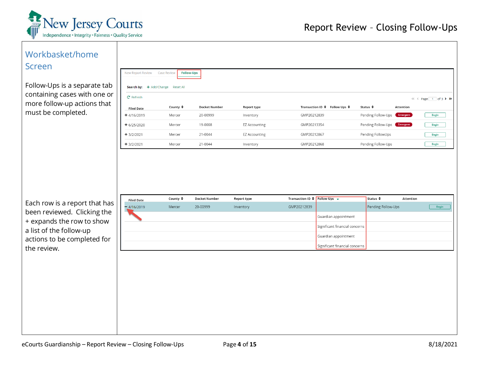

<span id="page-3-0"></span>

| Workbasket/home                                              |                                                  |                                         |                                  |                          |                                                                     |                                                        |                                           |           |                     |
|--------------------------------------------------------------|--------------------------------------------------|-----------------------------------------|----------------------------------|--------------------------|---------------------------------------------------------------------|--------------------------------------------------------|-------------------------------------------|-----------|---------------------|
| <b>Screen</b>                                                | New Report Review                                | <b>Follow-Ups</b><br><b>Case Review</b> |                                  |                          |                                                                     |                                                        |                                           |           |                     |
| Follow-Ups is a separate tab<br>containing cases with one or | Search by: + Add/Change Reset All<br>$C$ Refresh |                                         |                                  |                          |                                                                     |                                                        |                                           |           |                     |
| more follow-up actions that                                  |                                                  | County $\triangleq$                     | <b>Docket Number</b>             | Report type              |                                                                     | Transaction ID ♦ Follow Ups ♦                          | Status ≑                                  | Attention | « < Page 1 of 3 > > |
| must be completed.                                           | <b>Filed Date</b><br>$+4/16/2019$                | Mercer                                  | 20-00999                         | Inventory                | GMP20212839                                                         |                                                        | Pending Follow-Ups                        | Emergent  | Begin               |
|                                                              | $+ 6/25/2020$                                    | Mercer                                  | 19-0008                          | <b>EZ Accounting</b>     | GMP20213354                                                         |                                                        | Pending Follow-Ups                        | Emergent  | <b>Begin</b>        |
|                                                              | $+3/2/2021$                                      | Mercer                                  | 21-0044                          | <b>EZ Accounting</b>     | GMP20212867                                                         |                                                        | Pending FollowUps                         |           | ${\bf Begin}$       |
|                                                              | $+3/2/2021$                                      | Mercer                                  | 21-0044                          | Inventory                | GMP20212868                                                         |                                                        | Pending Follow-Ups                        |           | Begin               |
| Each row is a report that has                                | <b>Filed Date</b><br>$-4/16/2019$                | County $\triangleq$<br>Mercer           | <b>Docket Number</b><br>20-00999 | Report type<br>Inventory | Transaction ID $\triangleq$ Follow Ups $\rightarrow$<br>GMP20212839 |                                                        | Status $\triangleq$<br>Pending Follow-Ups | Attention | Begin               |
| been reviewed. Clicking the                                  |                                                  |                                         |                                  |                          |                                                                     |                                                        |                                           |           |                     |
| + expands the row to show                                    |                                                  |                                         |                                  |                          |                                                                     | Guardian appointment<br>Significant financial concerns |                                           |           |                     |
| a list of the follow-up                                      |                                                  |                                         |                                  |                          |                                                                     | Guardian appointment                                   |                                           |           |                     |
| actions to be completed for                                  |                                                  |                                         |                                  |                          |                                                                     | Significant financial concerns                         |                                           |           |                     |
| the review.                                                  |                                                  |                                         |                                  |                          |                                                                     |                                                        |                                           |           |                     |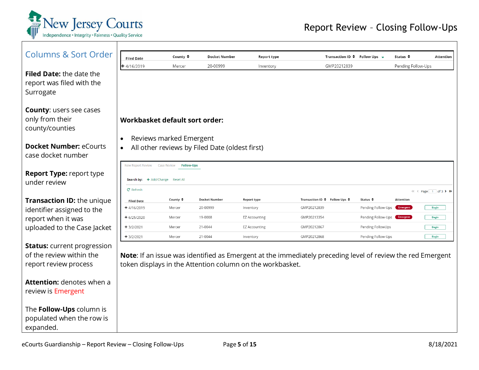

<span id="page-4-0"></span>

| <b>Columns &amp; Sort Order</b>    | <b>Filed Date</b>                 | County ≑                                | Docket Number                                  | Report type                                               | Transaction ID $\div$ Follow Ups $\div$                                                                    |                    | Status $\triangle$ | Attention           |
|------------------------------------|-----------------------------------|-----------------------------------------|------------------------------------------------|-----------------------------------------------------------|------------------------------------------------------------------------------------------------------------|--------------------|--------------------|---------------------|
|                                    | $+4/16/2019$                      | Mercer                                  | 20-00999                                       | Inventory                                                 | GMP20212839                                                                                                |                    | Pending Follow-Ups |                     |
| <b>Filed Date:</b> the date the    |                                   |                                         |                                                |                                                           |                                                                                                            |                    |                    |                     |
| report was filed with the          |                                   |                                         |                                                |                                                           |                                                                                                            |                    |                    |                     |
| Surrogate                          |                                   |                                         |                                                |                                                           |                                                                                                            |                    |                    |                     |
| <b>County: users see cases</b>     |                                   |                                         |                                                |                                                           |                                                                                                            |                    |                    |                     |
| only from their                    | Workbasket default sort order:    |                                         |                                                |                                                           |                                                                                                            |                    |                    |                     |
| county/counties                    |                                   |                                         |                                                |                                                           |                                                                                                            |                    |                    |                     |
|                                    | $\bullet$                         | Reviews marked Emergent                 |                                                |                                                           |                                                                                                            |                    |                    |                     |
| <b>Docket Number: eCourts</b>      | $\bullet$                         |                                         | All other reviews by Filed Date (oldest first) |                                                           |                                                                                                            |                    |                    |                     |
| case docket number                 |                                   |                                         |                                                |                                                           |                                                                                                            |                    |                    |                     |
|                                    | <b>New Report Review</b>          | <b>Case Review</b><br><b>Follow-Ups</b> |                                                |                                                           |                                                                                                            |                    |                    |                     |
| <b>Report Type: report type</b>    |                                   |                                         |                                                |                                                           |                                                                                                            |                    |                    |                     |
| under review                       | Search by: + Add/Change Reset All |                                         |                                                |                                                           |                                                                                                            |                    |                    |                     |
|                                    | C <sup>'</sup> Refresh            |                                         |                                                |                                                           |                                                                                                            |                    |                    | « < Page 1 of 3 > > |
| <b>Transaction ID: the unique</b>  | <b>Filed Date</b>                 | County $\div$                           | <b>Docket Number</b>                           | Report type                                               | Transaction ID $\div$ Follow Ups $\div$                                                                    | Status $\div$      | Attention          |                     |
| identifier assigned to the         | $+4/16/2019$                      | Mercer                                  | 20-00999                                       | Inventory                                                 | GMP20212839                                                                                                | Pending Follow-Ups | Emergent           | Begin               |
| report when it was                 | $+ 6/25/2020$                     | Mercer                                  | 19-0008                                        | <b>EZ Accounting</b>                                      | GMP20213354                                                                                                | Pending Follow-Ups | Emergent           | <b>Begin</b>        |
| uploaded to the Case Jacket        | $+3/2/2021$                       | Mercer                                  | 21-0044                                        | <b>EZ Accounting</b>                                      | GMP20212867                                                                                                | Pending FollowUps  |                    | <b>Begin</b>        |
|                                    | $+3/2/2021$                       | Mercer                                  | 21-0044                                        | Inventory                                                 | GMP20212868                                                                                                | Pending Follow-Ups |                    | <b>Begin</b>        |
| <b>Status:</b> current progression |                                   |                                         |                                                |                                                           |                                                                                                            |                    |                    |                     |
| of the review within the           |                                   |                                         |                                                |                                                           | Note: If an issue was identified as Emergent at the immediately preceding level of review the red Emergent |                    |                    |                     |
| report review process              |                                   |                                         |                                                | token displays in the Attention column on the workbasket. |                                                                                                            |                    |                    |                     |
| <b>Attention:</b> denotes when a   |                                   |                                         |                                                |                                                           |                                                                                                            |                    |                    |                     |
| review is Emergent                 |                                   |                                         |                                                |                                                           |                                                                                                            |                    |                    |                     |
|                                    |                                   |                                         |                                                |                                                           |                                                                                                            |                    |                    |                     |
| The Follow-Ups column is           |                                   |                                         |                                                |                                                           |                                                                                                            |                    |                    |                     |
| populated when the row is          |                                   |                                         |                                                |                                                           |                                                                                                            |                    |                    |                     |
| expanded.                          |                                   |                                         |                                                |                                                           |                                                                                                            |                    |                    |                     |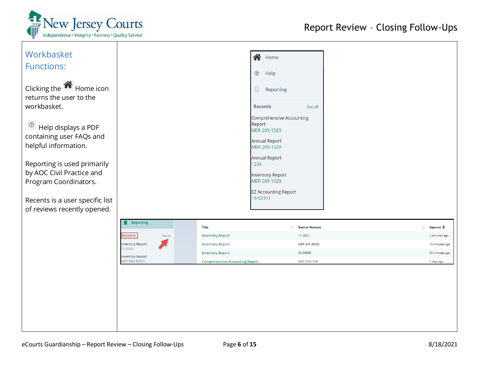

<span id="page-5-0"></span>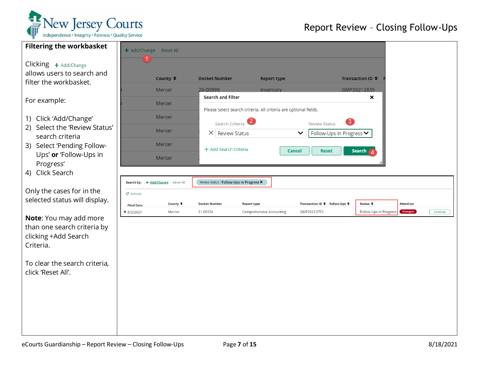

## Report Review – Closing Follow-Ups

| <b>Filtering the workbasket</b>                                  |                   | + Add/Change Reset All            |                      |                              |                                         |                                                                  |                               |                        |           |          |
|------------------------------------------------------------------|-------------------|-----------------------------------|----------------------|------------------------------|-----------------------------------------|------------------------------------------------------------------|-------------------------------|------------------------|-----------|----------|
| Clicking + Add/Change<br>allows users to search and              |                   |                                   |                      |                              |                                         |                                                                  |                               |                        |           |          |
| filter the workbasket.                                           |                   | County ≑                          |                      | <b>Docket Number</b>         |                                         | <b>Report type</b>                                               |                               | Transaction ID ♦       |           |          |
|                                                                  |                   | Mercer                            | 20-00999             |                              | Inventory                               |                                                                  |                               | GMP20212839            |           |          |
| For example:                                                     |                   | Mercer                            |                      | Search and Filter            |                                         |                                                                  |                               | ×                      |           |          |
| 1) Click 'Add/Change'                                            |                   | Mercer                            |                      | Search Criteria <sup>2</sup> |                                         | Please select search criteria. All criteria are optional fields. | 3<br>Review Status            |                        |           |          |
| 2) Select the 'Review Status'<br>search criteria                 |                   | Mercer                            |                      | $\times$ Review Status       |                                         | $\checkmark$                                                     | Follow-Ups in Progress V      |                        |           |          |
| 3) Select 'Pending Follow-                                       |                   | Mercer                            |                      | + Add Search Criteria        |                                         | Cancel                                                           | <b>Reset</b>                  | Search                 |           |          |
| Ups' or 'Follow-Ups in<br>Progress'                              |                   | Mercer                            |                      |                              |                                         |                                                                  |                               |                        |           |          |
| 4) Click Search                                                  |                   |                                   |                      |                              |                                         |                                                                  |                               |                        |           |          |
|                                                                  |                   | Search by: + Add/Change Reset All |                      |                              | Review Status: Follow-Ups in Progress X |                                                                  |                               |                        |           |          |
| Only the cases for in the                                        | $C$ Refresh       |                                   |                      |                              |                                         |                                                                  |                               |                        |           |          |
| selected status will display.                                    | <b>Filed Date</b> | County $\triangleq$               | <b>Docket Number</b> |                              | Report type                             |                                                                  | Transaction ID ♦ Follow Ups ♦ | Status $\triangleq$    | Attention |          |
| Note: You may add more                                           | $+8/2/2021$       | Mercer                            | 21-00334             |                              | Comprehensive Accounting                |                                                                  | GMP20213753                   | Follow-Ups in Progress | Emergent  | Continue |
| than one search criteria by<br>clicking +Add Search<br>Criteria. |                   |                                   |                      |                              |                                         |                                                                  |                               |                        |           |          |
| To clear the search criteria,<br>click 'Reset All'.              |                   |                                   |                      |                              |                                         |                                                                  |                               |                        |           |          |
|                                                                  |                   |                                   |                      |                              |                                         |                                                                  |                               |                        |           |          |
|                                                                  |                   |                                   |                      |                              |                                         |                                                                  |                               |                        |           |          |
|                                                                  |                   |                                   |                      |                              |                                         |                                                                  |                               |                        |           |          |
|                                                                  |                   |                                   |                      |                              |                                         |                                                                  |                               |                        |           |          |
|                                                                  |                   |                                   |                      |                              |                                         |                                                                  |                               |                        |           |          |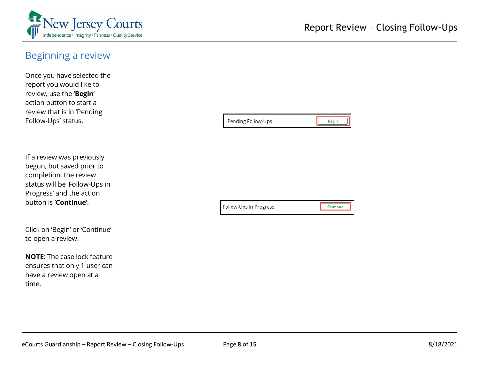

<span id="page-7-0"></span>

| Beginning a review<br>Once you have selected the<br>report you would like to<br>review, use the 'Begin'<br>action button to start a<br>review that is in 'Pending<br>Follow-Ups' status. | Pending Follow-Ups     | Begin    |
|------------------------------------------------------------------------------------------------------------------------------------------------------------------------------------------|------------------------|----------|
| If a review was previously<br>begun, but saved prior to<br>completion, the review<br>status will be 'Follow-Ups in<br>Progress' and the action<br>button is 'Continue'.                  | Follow-Ups in Progress | Continue |
| Click on 'Begin' or 'Continue'<br>to open a review.                                                                                                                                      |                        |          |
| <b>NOTE:</b> The case lock feature<br>ensures that only 1 user can<br>have a review open at a<br>time.                                                                                   |                        |          |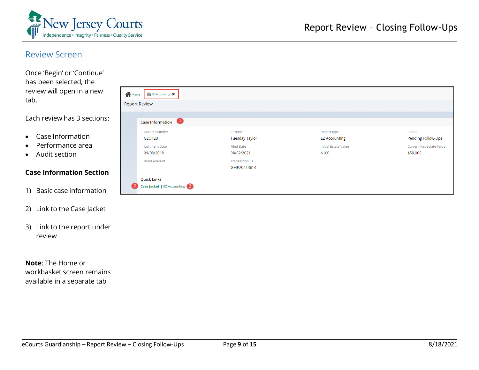

<span id="page-8-0"></span>

| <b>Review Screen</b><br>Once 'Begin' or 'Continue'<br>has been selected, the<br>review will open in a new<br>tab. | <b>N</b> Home<br>$\hat{=}$ EZ Accounting $\boldsymbol{X}$<br><b>Report Review</b> |                                                                                                             |                                                                             |                                                                                    |
|-------------------------------------------------------------------------------------------------------------------|-----------------------------------------------------------------------------------|-------------------------------------------------------------------------------------------------------------|-----------------------------------------------------------------------------|------------------------------------------------------------------------------------|
| Each review has 3 sections:                                                                                       | Œ<br><b>Case Information</b>                                                      |                                                                                                             |                                                                             |                                                                                    |
| Case Information<br>$\bullet$<br>Performance area<br>$\bullet$<br>Audit section<br>$\bullet$                      | Docket Number<br>GLO123<br>Judgment Date<br>09/03/2018<br><b>Bond Amount</b>      | IP Name<br><b>Tuesday Taylor</b><br><b>Filed Date</b><br>08/02/2021<br><b>Transaction ID</b><br>GMP20213614 | Report type<br><b>EZ Accounting</b><br><b>Initial Estate Value</b><br>\$100 | <b>Status</b><br>Pending Follow-Ups<br><b>Current Net Estate Value</b><br>\$50,000 |
| <b>Case Information Section</b>                                                                                   | <b>Quick Links</b>                                                                |                                                                                                             |                                                                             |                                                                                    |
| 1) Basic case information                                                                                         | <b>Case Jacket</b>   EZ Accounting 3<br>$\left\lfloor 2 \right\rfloor$            |                                                                                                             |                                                                             |                                                                                    |
| 2) Link to the Case Jacket                                                                                        |                                                                                   |                                                                                                             |                                                                             |                                                                                    |
| 3) Link to the report under<br>review                                                                             |                                                                                   |                                                                                                             |                                                                             |                                                                                    |
| Note: The Home or<br>workbasket screen remains<br>available in a separate tab                                     |                                                                                   |                                                                                                             |                                                                             |                                                                                    |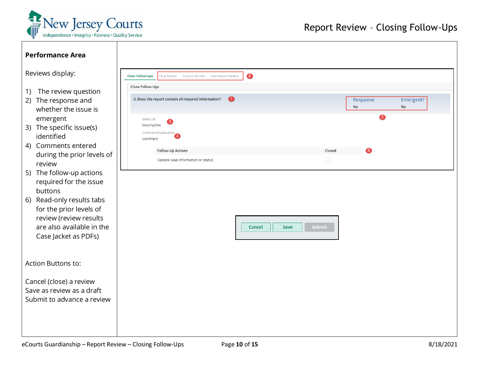

| <b>Performance Area</b>                                                                                                                                                                                                                                                                                                                                                                               |                                                                                                                                                                                                                                                                                    |                                 |                        |
|-------------------------------------------------------------------------------------------------------------------------------------------------------------------------------------------------------------------------------------------------------------------------------------------------------------------------------------------------------------------------------------------------------|------------------------------------------------------------------------------------------------------------------------------------------------------------------------------------------------------------------------------------------------------------------------------------|---------------------------------|------------------------|
| Reviews display:                                                                                                                                                                                                                                                                                                                                                                                      | $\bullet$<br><b>Close Follow-Ups</b><br><b>Final Review</b><br><b>Finance Review</b><br>New Report Review                                                                                                                                                                          |                                 |                        |
| The review question<br>1)<br>2) The response and<br>whether the issue is<br>emergent<br>3) The specific issue(s)<br>identified<br>4) Comments entered<br>during the prior levels of<br>review<br>5) The follow-up actions<br>required for the issue<br>buttons<br>6) Read-only results tabs<br>for the prior levels of<br>review (review results<br>are also available in the<br>Case Jacket as PDFs) | Close Follow-Ups<br>$\bullet$<br>3. Does the report contain all required information?<br><b>Issue List</b><br>Incomplete<br>Comment/Explanation<br>comment<br>Follow-Up Actions<br>Closed<br>$\Box$<br>Update case information or status<br><b>Submit</b><br><b>Cancel</b><br>Save | Response<br><b>No</b><br>2<br>6 | Emergent?<br><b>No</b> |
| Action Buttons to:                                                                                                                                                                                                                                                                                                                                                                                    |                                                                                                                                                                                                                                                                                    |                                 |                        |
| Cancel (close) a review<br>Save as review as a draft<br>Submit to advance a review                                                                                                                                                                                                                                                                                                                    |                                                                                                                                                                                                                                                                                    |                                 |                        |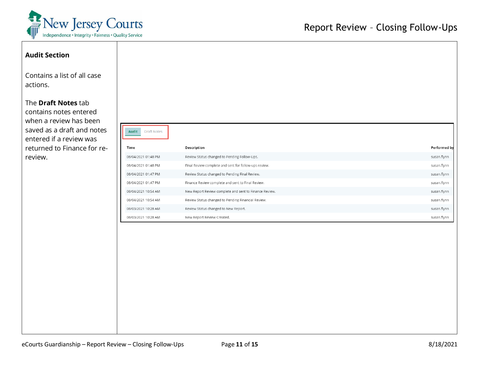

| <b>Audit Section</b><br>Contains a list of all case<br>actions. |                             |                                                        |              |
|-----------------------------------------------------------------|-----------------------------|--------------------------------------------------------|--------------|
| The Draft Notes tab<br>contains notes entered                   |                             |                                                        |              |
| when a review has been                                          |                             |                                                        |              |
| saved as a draft and notes<br>entered if a review was           | Audit<br><b>Draft Notes</b> |                                                        |              |
| returned to Finance for re-                                     | Time                        | Description                                            | Performed by |
| review.                                                         | 08/04/2021 01:48 PM         | Review Status changed to Pending Follow-Ups.           | susan.flynn  |
|                                                                 | 08/04/2021 01:48 PM         | Final Review complete and sent for follow-ups review.  | susan.flynn  |
|                                                                 | 08/04/2021 01:47 PM         | Review Status changed to Pending Final Review.         | susan.flynn  |
|                                                                 | 08/04/2021 01:47 PM         | Finance Review complete and sent to Final Review.      | susan.flynn  |
|                                                                 | 08/04/2021 10:54 AM         | New Report Review complete and sent to Finance Review. | susan.flynn  |
|                                                                 | 08/04/2021 10:54 AM         | Review Status changed to Pending Financial Review.     | susan.flynn  |
|                                                                 | 08/03/2021 10:28 AM         | Review Status changed to New Report.                   | susan.flynn  |
|                                                                 | 08/03/2021 10:28 AM         | New Report Review Created.                             | susan.flynn  |
|                                                                 |                             |                                                        |              |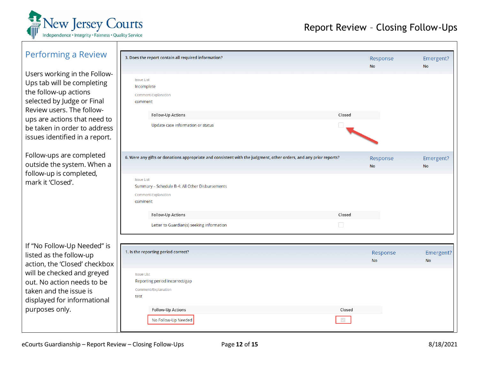

<span id="page-11-0"></span>

| Performing a Review                                                                                                                                                                                                                              | 3. Does the report contain all required information?                                                                                                                                                                                                       | Response<br><b>No</b> | Emergent?<br><b>No</b> |
|--------------------------------------------------------------------------------------------------------------------------------------------------------------------------------------------------------------------------------------------------|------------------------------------------------------------------------------------------------------------------------------------------------------------------------------------------------------------------------------------------------------------|-----------------------|------------------------|
| Users working in the Follow-<br>Ups tab will be completing<br>the follow-up actions<br>selected by Judge or Final<br>Review users. The follow-<br>ups are actions that need to<br>be taken in order to address<br>issues identified in a report. | <b>Issue List</b><br>Incomplete<br>Comment/Explanation<br>comment<br>Follow-Up Actions<br>Closed<br>Update case information or status                                                                                                                      |                       |                        |
| Follow-ups are completed<br>outside the system. When a<br>follow-up is completed,<br>mark it 'Closed'.                                                                                                                                           | 6. Were any gifts or donations appropriate and consistent with the judgment, other orders, and any prior reports?<br><b>Issue List</b><br>Summary - Schedule B-4: All Other Disbursements<br>Comment/Explanation<br>comment<br>Follow-Up Actions<br>Closed | Response<br><b>No</b> | Emergent?<br><b>No</b> |
|                                                                                                                                                                                                                                                  | $\Box$<br>Letter to Guardian(s) seeking information                                                                                                                                                                                                        |                       |                        |
| If "No Follow-Up Needed" is<br>listed as the follow-up<br>action, the 'Closed' checkbox<br>will be checked and greyed                                                                                                                            | 1. Is the reporting period correct?                                                                                                                                                                                                                        | Response<br><b>No</b> | Emergent?<br><b>No</b> |
| out. No action needs to be<br>taken and the issue is<br>displayed for informational<br>purposes only.                                                                                                                                            | <b>Issue List</b><br>Reporting period incorrect/gap<br>Comment/Explanation<br>test<br>Follow-Up Actions<br>Closed<br>No Follow-Up Needed                                                                                                                   |                       |                        |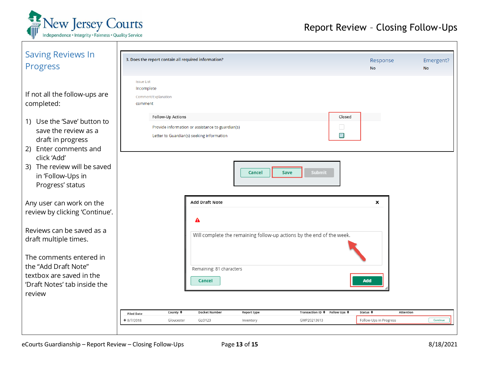

<span id="page-12-0"></span>

| <b>Saving Reviews In</b><br><b>Progress</b>                                                                             | 3. Does the report contain all required information?                                   |                                                                                               |                              |                                                                       | Response<br><b>No</b>  | Emergent?<br><b>No</b> |
|-------------------------------------------------------------------------------------------------------------------------|----------------------------------------------------------------------------------------|-----------------------------------------------------------------------------------------------|------------------------------|-----------------------------------------------------------------------|------------------------|------------------------|
| If not all the follow-ups are<br>completed:<br>1) Use the 'Save' button to<br>save the review as a<br>draft in progress | <b>Issue List</b><br>Incomplete<br>Comment/Explanation<br>comment<br>Follow-Up Actions | Provide information or assistance to guardian(s)<br>Letter to Guardian(s) seeking information |                              | Closed<br>$\Box$<br>$\checkmark$                                      |                        |                        |
| Enter comments and<br>2)<br>click 'Add'<br>3) The review will be saved<br>in 'Follow-Ups in<br>Progress' status         |                                                                                        |                                                                                               | <b>Save</b><br><b>Cancel</b> | <b>Submit</b>                                                         |                        |                        |
| Any user can work on the<br>review by clicking 'Continue'.                                                              |                                                                                        | <b>Add Draft Note</b>                                                                         |                              |                                                                       | ×                      |                        |
| Reviews can be saved as a<br>draft multiple times.                                                                      |                                                                                        |                                                                                               |                              | Will complete the remaining follow-up actions by the end of the week. |                        |                        |
| The comments entered in<br>the "Add Draft Note"<br>textbox are saved in the<br>'Draft Notes' tab inside the<br>review   |                                                                                        | Remaining: 81 characters<br><b>Cancel</b>                                                     |                              |                                                                       | Add                    |                        |
|                                                                                                                         | County $\triangle$<br><b>Filed Date</b>                                                | <b>Docket Number</b>                                                                          | Report type                  | Transaction ID ♦ Follow Ups ♦                                         | Status ≑               | Attention              |
|                                                                                                                         | $+8/7/2018$<br>Gloucester                                                              | GLO123                                                                                        | Inventory                    | GMP20213613                                                           | Follow-Ups in Progress | Continue               |
|                                                                                                                         |                                                                                        |                                                                                               |                              |                                                                       |                        |                        |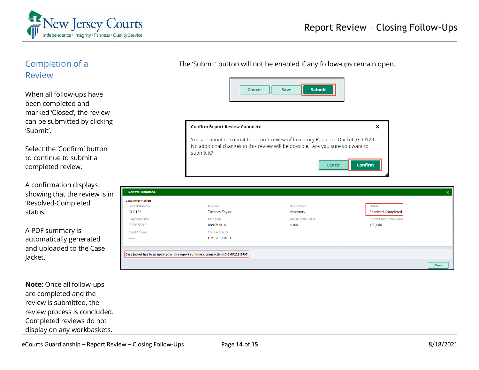

<span id="page-13-0"></span>

| Completion of a<br><b>Review</b><br>When all follow-ups have<br>been completed and<br>marked 'Closed', the review |                                                     | The 'Submit' button will not be enabled if any follow-ups remain open.<br><b>Cancel</b> | <b>Submit</b><br><b>Save</b>                                                              |                                             |                |
|-------------------------------------------------------------------------------------------------------------------|-----------------------------------------------------|-----------------------------------------------------------------------------------------|-------------------------------------------------------------------------------------------|---------------------------------------------|----------------|
| can be submitted by clicking<br>'Submit'.                                                                         |                                                     | Confirm Report Review Complete                                                          | You are about to submit the report review of Inventory Report in Docket GLO123.           | ×                                           |                |
| Select the 'Confirm' button<br>to continue to submit a<br>completed review.                                       |                                                     | submit it?                                                                              | No additional changes to this review will be possible. Are you sure you want to<br>Cancel | <b>Confirm</b>                              |                |
| A confirmation displays                                                                                           |                                                     |                                                                                         |                                                                                           |                                             |                |
| showing that the review is in                                                                                     | <b>Review Submitted.</b><br><b>Case Information</b> |                                                                                         |                                                                                           |                                             | $\circledcirc$ |
| 'Resolved-Completed'                                                                                              | <b>Docket Number</b>                                | <b>IP Name</b>                                                                          | Report type                                                                               | <b>Status</b>                               |                |
| status.                                                                                                           | GLO123                                              | <b>Tuesday Taylor</b>                                                                   | Inventory                                                                                 | Resolved-Completed                          |                |
|                                                                                                                   | <b>Judgment Date</b><br>09/03/2018                  | <b>Filed Date</b><br>08/07/2018                                                         | <b>Initial Estate Value</b><br>\$100                                                      | <b>Current Net Estate Value</b><br>\$50,000 |                |
| A PDF summary is                                                                                                  | <b>Bond Amount</b>                                  | <b>Transaction ID</b>                                                                   |                                                                                           |                                             |                |
| automatically generated                                                                                           |                                                     | GMP20213613                                                                             |                                                                                           |                                             |                |
| and uploaded to the Case                                                                                          |                                                     |                                                                                         |                                                                                           |                                             |                |
| Jacket.                                                                                                           |                                                     | Case Jacket has been updated with a report summary, transaction ID GMP20213797          |                                                                                           |                                             |                |
|                                                                                                                   |                                                     |                                                                                         |                                                                                           |                                             | Close          |
|                                                                                                                   |                                                     |                                                                                         |                                                                                           |                                             |                |
| <b>Note:</b> Once all follow-ups                                                                                  |                                                     |                                                                                         |                                                                                           |                                             |                |
| are completed and the                                                                                             |                                                     |                                                                                         |                                                                                           |                                             |                |
| review is submitted, the                                                                                          |                                                     |                                                                                         |                                                                                           |                                             |                |
| review process is concluded.                                                                                      |                                                     |                                                                                         |                                                                                           |                                             |                |
| Completed reviews do not                                                                                          |                                                     |                                                                                         |                                                                                           |                                             |                |
| display on any workbaskets.                                                                                       |                                                     |                                                                                         |                                                                                           |                                             |                |